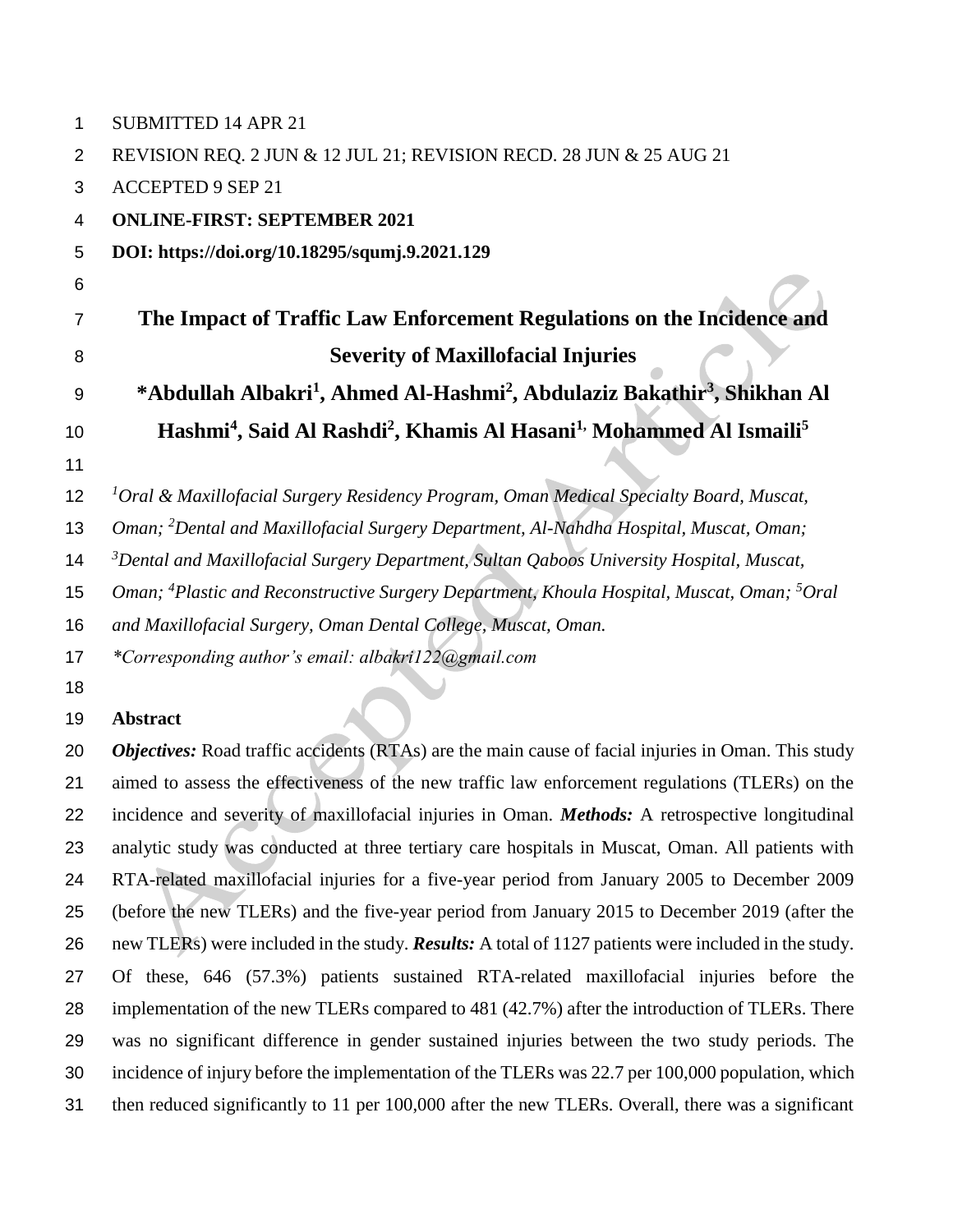| 1  | <b>SUBMITTED 14 APR 21</b>                                                                                          |
|----|---------------------------------------------------------------------------------------------------------------------|
| 2  | REVISION REQ. 2 JUN & 12 JUL 21; REVISION RECD. 28 JUN & 25 AUG 21                                                  |
| 3  | <b>ACCEPTED 9 SEP 21</b>                                                                                            |
| 4  | <b>ONLINE-FIRST: SEPTEMBER 2021</b>                                                                                 |
| 5  | DOI: https://doi.org/10.18295/squmj.9.2021.129                                                                      |
| 6  |                                                                                                                     |
| 7  | The Impact of Traffic Law Enforcement Regulations on the Incidence and                                              |
| 8  | <b>Severity of Maxillofacial Injuries</b>                                                                           |
| 9  | *Abdullah Albakri <sup>1</sup> , Ahmed Al-Hashmi <sup>2</sup> , Abdulaziz Bakathir <sup>3</sup> , Shikhan Al        |
| 10 | Hashmi <sup>4</sup> , Said Al Rashdi <sup>2</sup> , Khamis Al Hasani <sup>1,</sup> Mohammed Al Ismaili <sup>5</sup> |
| 11 |                                                                                                                     |
| 12 | ${}^{1}$ Oral & Maxillofacial Surgery Residency Program, Oman Medical Specialty Board, Muscat,                      |
| 13 | Oman; <sup>2</sup> Dental and Maxillofacial Surgery Department, Al-Nahdha Hospital, Muscat, Oman;                   |
| 14 | $3$ Dental and Maxillofacial Surgery Department, Sultan Qaboos University Hospital, Muscat,                         |
| 15 | Oman; <sup>4</sup> Plastic and Reconstructive Surgery Department, Khoula Hospital, Muscat, Oman; <sup>5</sup> Oral  |
| 16 | and Maxillofacial Surgery, Oman Dental College, Muscat, Oman.                                                       |
| 17 | *Corresponding author's email: albakri122@gmail.com                                                                 |
| 18 |                                                                                                                     |
| 19 | <b>Abstract</b>                                                                                                     |
| 20 | Objectives: Road traffic accidents (RTAs) are the main cause of facial injuries in Oman. This study                 |
| 21 | aimed to assess the effectiveness of the new traffic law enforcement regulations (TLERs) on the                     |
| 22 | incidence and severity of maxillofacial injuries in Oman. Methods: A retrospective longitudinal                     |
| 23 | analytic study was conducted at three tertiary care hospitals in Muscat, Oman. All patients with                    |
| 24 | RTA-related maxillofacial injuries for a five-year period from January 2005 to December 2009                        |
| 25 | (before the new TLERs) and the five-year period from January 2015 to December 2019 (after the                       |
| 26 | new TLERs) were included in the study. <b>Results:</b> A total of 1127 patients were included in the study.         |
| 27 | Of these, 646 (57.3%) patients sustained RTA-related maxillofacial injuries before the                              |
| 28 | implementation of the new TLERs compared to 481 (42.7%) after the introduction of TLERs. There                      |
| 29 | was no significant difference in gender sustained injuries between the two study periods. The                       |

 incidence of injury before the implementation of the TLERs was 22.7 per 100,000 population, which then reduced significantly to 11 per 100,000 after the new TLERs. Overall, there was a significant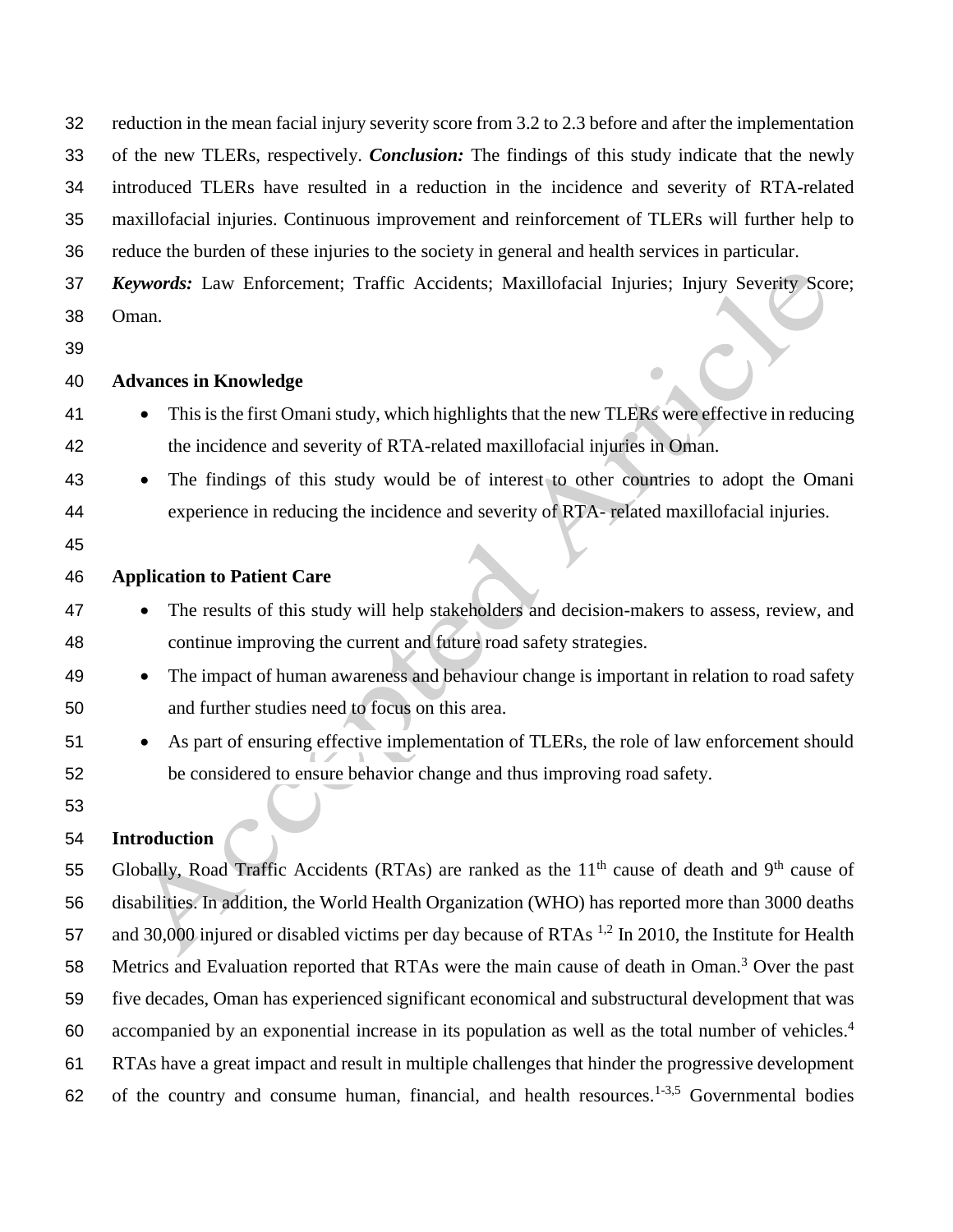reduction in the mean facial injury severity score from 3.2 to 2.3 before and after the implementation of the new TLERs, respectively. *Conclusion:* The findings of this study indicate that the newly introduced TLERs have resulted in a reduction in the incidence and severity of RTA-related maxillofacial injuries. Continuous improvement and reinforcement of TLERs will further help to reduce the burden of these injuries to the society in general and health services in particular.

- *Keywords:* Law Enforcement; Traffic Accidents; Maxillofacial Injuries; Injury Severity Score; Oman.
- 

### **Advances in Knowledge**

- This is the first Omani study, which highlights that the new TLERs were effective in reducing the incidence and severity of RTA-related maxillofacial injuries in Oman.
- The findings of this study would be of interest to other countries to adopt the Omani experience in reducing the incidence and severity of RTA- related maxillofacial injuries.
- 

### **Application to Patient Care**

- The results of this study will help stakeholders and decision-makers to assess, review, and continue improving the current and future road safety strategies.
- 49 The impact of human awareness and behaviour change is important in relation to road safety and further studies need to focus on this area.
- 51 As part of ensuring effective implementation of TLERs, the role of law enforcement should be considered to ensure behavior change and thus improving road safety.
- 

## **Introduction**

55 Globally, Road Traffic Accidents (RTAs) are ranked as the  $11<sup>th</sup>$  cause of death and 9<sup>th</sup> cause of disabilities. In addition, the World Health Organization (WHO) has reported more than 3000 deaths 57 and 30,000 injured or disabled victims per day because of RTAs  $^{1,2}$  In 2010, the Institute for Health 58 Metrics and Evaluation reported that RTAs were the main cause of death in Oman.<sup>3</sup> Over the past five decades, Oman has experienced significant economical and substructural development that was 60 accompanied by an exponential increase in its population as well as the total number of vehicles.<sup>4</sup> RTAs have a great impact and result in multiple challenges that hinder the progressive development 62 of the country and consume human, financial, and health resources.<sup>1-3,5</sup> Governmental bodies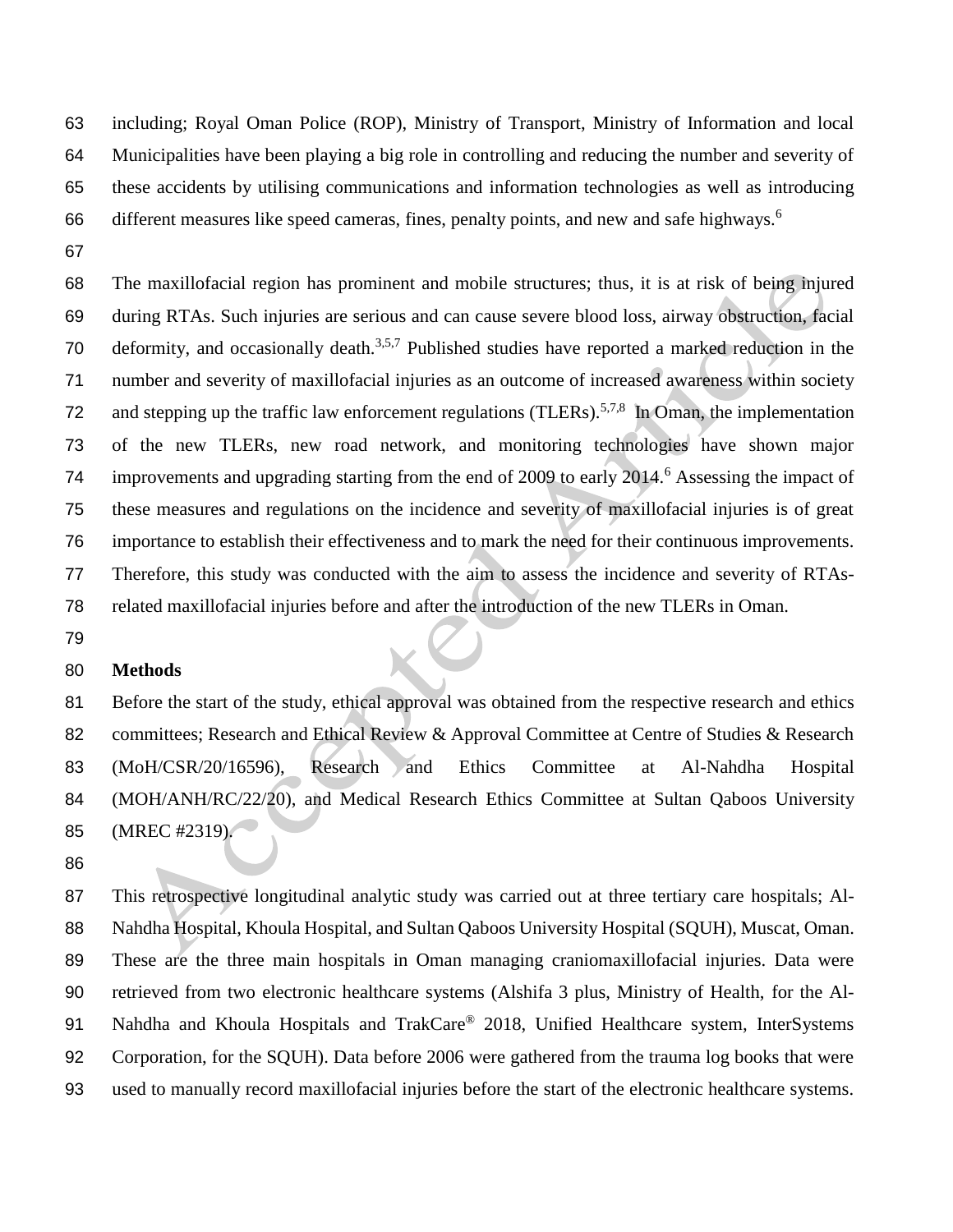including; Royal Oman Police (ROP), Ministry of Transport, Ministry of Information and local Municipalities have been playing a big role in controlling and reducing the number and severity of these accidents by utilising communications and information technologies as well as introducing 66 different measures like speed cameras, fines, penalty points, and new and safe highways.<sup>6</sup>

 The maxillofacial region has prominent and mobile structures; thus, it is at risk of being injured during RTAs. Such injuries are serious and can cause severe blood loss, airway obstruction, facial 70 deformity, and occasionally death.<sup>3,5,7</sup> Published studies have reported a marked reduction in the number and severity of maxillofacial injuries as an outcome of increased awareness within society 72 and stepping up the traffic law enforcement regulations (TLERs).<sup>5,7,8</sup> In Oman, the implementation of the new TLERs, new road network, and monitoring technologies have shown major 74 improvements and upgrading starting from the end of 2009 to early  $2014<sup>6</sup>$  Assessing the impact of these measures and regulations on the incidence and severity of maxillofacial injuries is of great importance to establish their effectiveness and to mark the need for their continuous improvements. Therefore, this study was conducted with the aim to assess the incidence and severity of RTAs-related maxillofacial injuries before and after the introduction of the new TLERs in Oman.

#### **Methods**

 Before the start of the study, ethical approval was obtained from the respective research and ethics 82 committees; Research and Ethical Review & Approval Committee at Centre of Studies & Research (MoH/CSR/20/16596), Research and Ethics Committee at Al-Nahdha Hospital (MOH/ANH/RC/22/20), and Medical Research Ethics Committee at Sultan Qaboos University (MREC #2319).

 This retrospective longitudinal analytic study was carried out at three tertiary care hospitals; Al- Nahdha Hospital, Khoula Hospital, and Sultan Qaboos University Hospital (SQUH), Muscat, Oman. These are the three main hospitals in Oman managing craniomaxillofacial injuries. Data were retrieved from two electronic healthcare systems (Alshifa 3 plus, Ministry of Health, for the Al-91 Nahdha and Khoula Hospitals and TrakCare<sup>®</sup> 2018, Unified Healthcare system, InterSystems Corporation, for the SQUH). Data before 2006 were gathered from the trauma log books that were used to manually record maxillofacial injuries before the start of the electronic healthcare systems.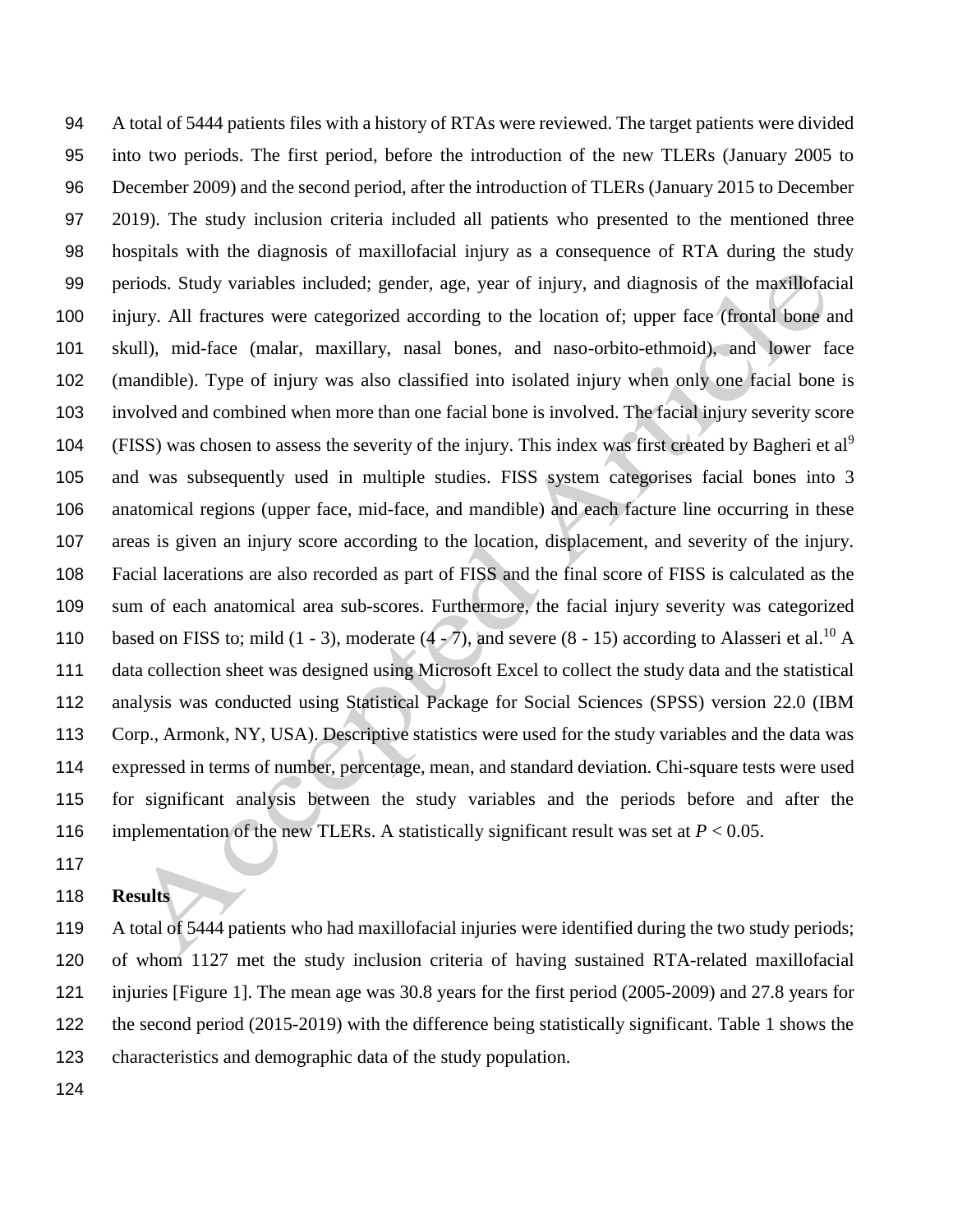A total of 5444 patients files with a history of RTAs were reviewed. The target patients were divided into two periods. The first period, before the introduction of the new TLERs (January 2005 to December 2009) and the second period, after the introduction of TLERs (January 2015 to December 2019). The study inclusion criteria included all patients who presented to the mentioned three hospitals with the diagnosis of maxillofacial injury as a consequence of RTA during the study periods. Study variables included; gender, age, year of injury, and diagnosis of the maxillofacial injury. All fractures were categorized according to the location of; upper face (frontal bone and skull), mid-face (malar, maxillary, nasal bones, and naso-orbito-ethmoid), and lower face (mandible). Type of injury was also classified into isolated injury when only one facial bone is involved and combined when more than one facial bone is involved. The facial injury severity score 104 (FISS) was chosen to assess the severity of the injury. This index was first created by Bagheri et al<sup>9</sup> and was subsequently used in multiple studies. FISS system categorises facial bones into 3 anatomical regions (upper face, mid-face, and mandible) and each facture line occurring in these areas is given an injury score according to the location, displacement, and severity of the injury. Facial lacerations are also recorded as part of FISS and the final score of FISS is calculated as the sum of each anatomical area sub-scores. Furthermore, the facial injury severity was categorized 110 based on FISS to; mild  $(1 - 3)$ , moderate  $(4 - 7)$ , and severe  $(8 - 15)$  according to Alasseri et al.<sup>10</sup> A data collection sheet was designed using Microsoft Excel to collect the study data and the statistical analysis was conducted using Statistical Package for Social Sciences (SPSS) version 22.0 (IBM Corp., Armonk, NY, USA). Descriptive statistics were used for the study variables and the data was expressed in terms of number, percentage, mean, and standard deviation. Chi-square tests were used for significant analysis between the study variables and the periods before and after the 116 implementation of the new TLERs. A statistically significant result was set at  $P < 0.05$ .

#### **Results**

 A total of 5444 patients who had maxillofacial injuries were identified during the two study periods; of whom 1127 met the study inclusion criteria of having sustained RTA-related maxillofacial injuries [Figure 1]. The mean age was 30.8 years for the first period (2005-2009) and 27.8 years for the second period (2015-2019) with the difference being statistically significant. Table 1 shows the characteristics and demographic data of the study population.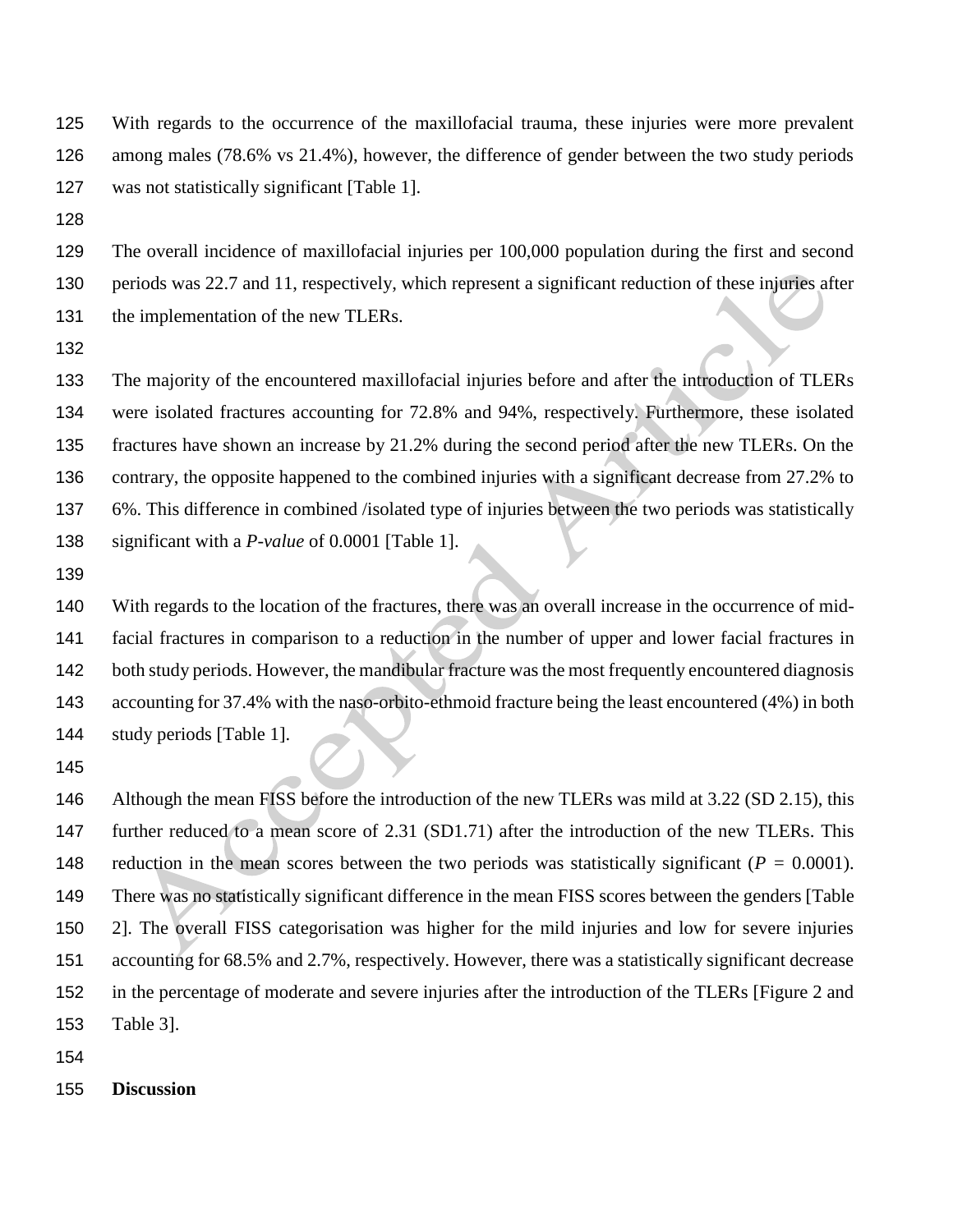With regards to the occurrence of the maxillofacial trauma, these injuries were more prevalent among males (78.6% vs 21.4%), however, the difference of gender between the two study periods was not statistically significant [Table 1].

 The overall incidence of maxillofacial injuries per 100,000 population during the first and second periods was 22.7 and 11, respectively, which represent a significant reduction of these injuries after 131 the implementation of the new TLERs.

 The majority of the encountered maxillofacial injuries before and after the introduction of TLERs were isolated fractures accounting for 72.8% and 94%, respectively. Furthermore, these isolated fractures have shown an increase by 21.2% during the second period after the new TLERs. On the contrary, the opposite happened to the combined injuries with a significant decrease from 27.2% to 6%. This difference in combined /isolated type of injuries between the two periods was statistically significant with a *P-value* of 0.0001 [Table 1].

 With regards to the location of the fractures, there was an overall increase in the occurrence of mid- facial fractures in comparison to a reduction in the number of upper and lower facial fractures in both study periods. However, the mandibular fracture was the most frequently encountered diagnosis accounting for 37.4% with the naso-orbito-ethmoid fracture being the least encountered (4%) in both study periods [Table 1].

146 Although the mean FISS before the introduction of the new TLERs was mild at 3.22 (SD 2.15), this 147 further reduced to a mean score of 2.31 (SD1.71) after the introduction of the new TLERs. This reduction in the mean scores between the two periods was statistically significant (*P =* 0.0001). There was no statistically significant difference in the mean FISS scores between the genders [Table 2]. The overall FISS categorisation was higher for the mild injuries and low for severe injuries accounting for 68.5% and 2.7%, respectively. However, there was a statistically significant decrease in the percentage of moderate and severe injuries after the introduction of the TLERs [Figure 2 and Table 3].

**Discussion**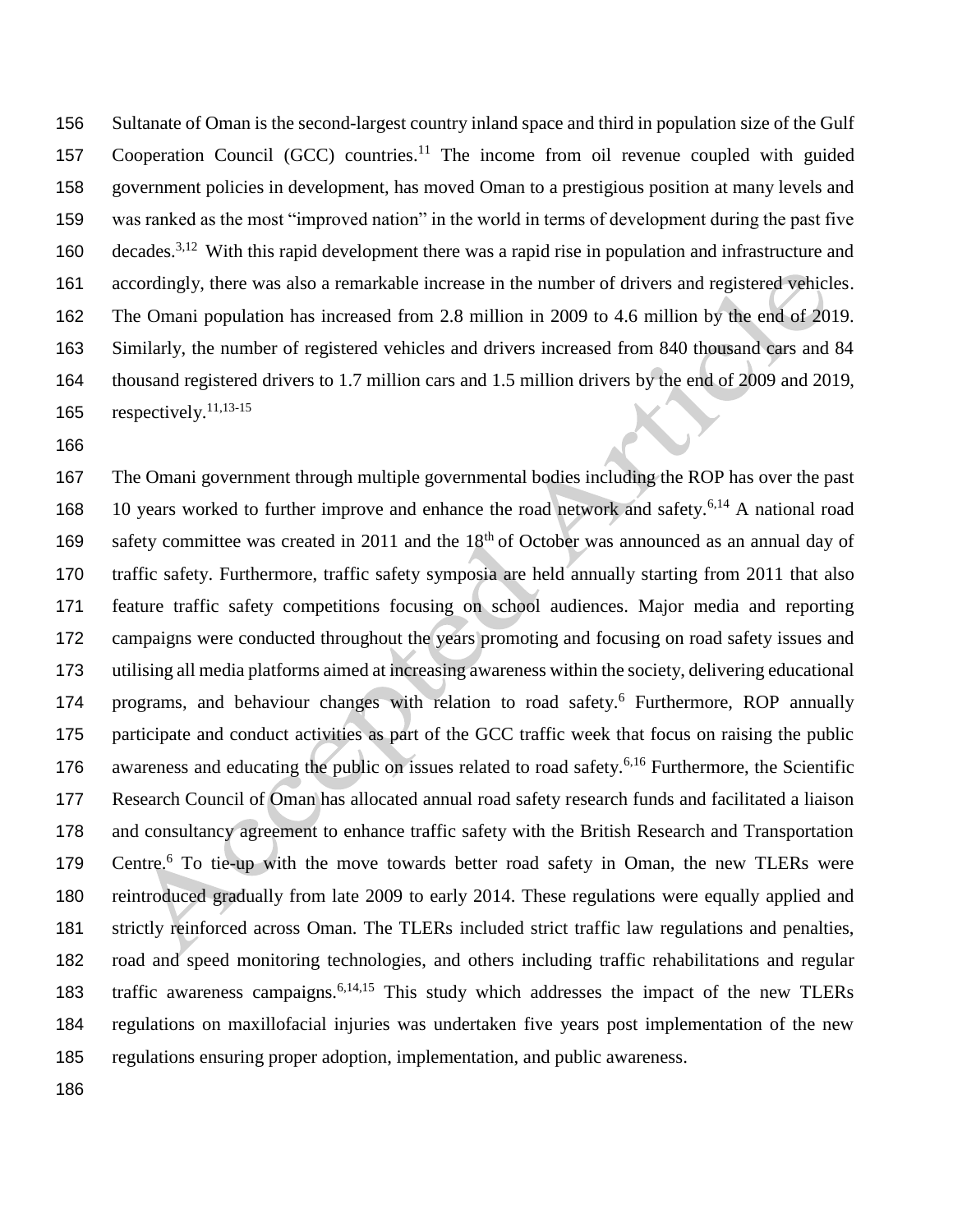Sultanate of Oman is the second-largest country inland space and third in population size of the Gulf 157 Cooperation Council  $(GCC)$  countries.<sup>11</sup> The income from oil revenue coupled with guided government policies in development, has moved Oman to a prestigious position at many levels and was ranked as the most "improved nation" in the world in terms of development during the past five 160 decades.<sup>3,12</sup> With this rapid development there was a rapid rise in population and infrastructure and accordingly, there was also a remarkable increase in the number of drivers and registered vehicles. The Omani population has increased from 2.8 million in 2009 to 4.6 million by the end of 2019. Similarly, the number of registered vehicles and drivers increased from 840 thousand cars and 84 thousand registered drivers to 1.7 million cars and 1.5 million drivers by the end of 2009 and 2019, 165 respectively.<sup>11,13-15</sup>

 The Omani government through multiple governmental bodies including the ROP has over the past 168 10 years worked to further improve and enhance the road network and safety.<sup>6,14</sup> A national road 169 safety committee was created in 2011 and the  $18<sup>th</sup>$  of October was announced as an annual day of traffic safety. Furthermore, traffic safety symposia are held annually starting from 2011 that also feature traffic safety competitions focusing on school audiences. Major media and reporting campaigns were conducted throughout the years promoting and focusing on road safety issues and utilising all media platforms aimed at increasing awareness within the society, delivering educational 174 programs, and behaviour changes with relation to road safety.<sup>6</sup> Furthermore, ROP annually participate and conduct activities as part of the GCC traffic week that focus on raising the public 176 awareness and educating the public on issues related to road safety.<sup>6,16</sup> Furthermore, the Scientific Research Council of Oman has allocated annual road safety research funds and facilitated a liaison and consultancy agreement to enhance traffic safety with the British Research and Transportation 179 Centre.<sup>6</sup> To tie-up with the move towards better road safety in Oman, the new TLERs were reintroduced gradually from late 2009 to early 2014. These regulations were equally applied and strictly reinforced across Oman. The TLERs included strict traffic law regulations and penalties, road and speed monitoring technologies, and others including traffic rehabilitations and regular 183 traffic awareness campaigns.<sup>6,14,15</sup> This study which addresses the impact of the new TLERs regulations on maxillofacial injuries was undertaken five years post implementation of the new regulations ensuring proper adoption, implementation, and public awareness.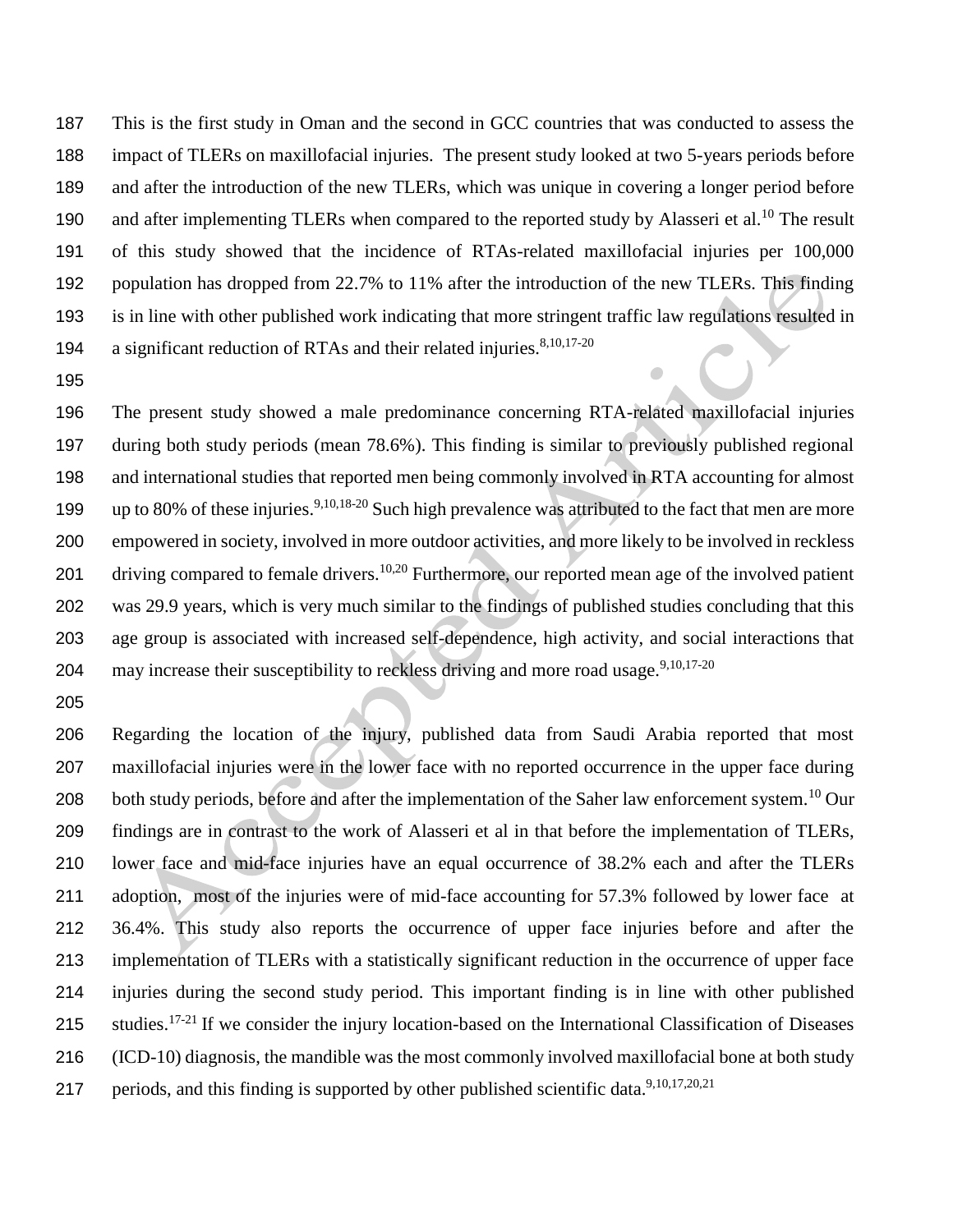This is the first study in Oman and the second in GCC countries that was conducted to assess the impact of TLERs on maxillofacial injuries. The present study looked at two 5-years periods before and after the introduction of the new TLERs, which was unique in covering a longer period before 190 and after implementing TLERs when compared to the reported study by Alasseri et al.<sup>10</sup> The result of this study showed that the incidence of RTAs-related maxillofacial injuries per 100,000 population has dropped from 22.7% to 11% after the introduction of the new TLERs. This finding is in line with other published work indicating that more stringent traffic law regulations resulted in 194 a significant reduction of RTAs and their related injuries. $8,10,17-20$ 

 The present study showed a male predominance concerning RTA-related maxillofacial injuries during both study periods (mean 78.6%). This finding is similar to previously published regional and international studies that reported men being commonly involved in RTA accounting for almost 199 up to 80% of these injuries.<sup>9,10,18-20</sup> Such high prevalence was attributed to the fact that men are more empowered in society, involved in more outdoor activities, and more likely to be involved in reckless 201 driving compared to female drivers.<sup>10,20</sup> Furthermore, our reported mean age of the involved patient was 29.9 years, which is very much similar to the findings of published studies concluding that this age group is associated with increased self-dependence, high activity, and social interactions that 204 may increase their susceptibility to reckless driving and more road usage.  $9,10,17-20$ 

 Regarding the location of the injury, published data from Saudi Arabia reported that most maxillofacial injuries were in the lower face with no reported occurrence in the upper face during 208 both study periods, before and after the implementation of the Saher law enforcement system.<sup>10</sup> Our findings are in contrast to the work of Alasseri et al in that before the implementation of TLERs, lower face and mid-face injuries have an equal occurrence of 38.2% each and after the TLERs adoption, most of the injuries were of mid-face accounting for 57.3% followed by lower face at 36.4%. This study also reports the occurrence of upper face injuries before and after the implementation of TLERs with a statistically significant reduction in the occurrence of upper face injuries during the second study period. This important finding is in line with other published 215 studies.<sup>17-21</sup> If we consider the injury location-based on the International Classification of Diseases (ICD-10) diagnosis, the mandible was the most commonly involved maxillofacial bone at both study 217 periods, and this finding is supported by other published scientific data.<sup>9,10,17,20,21</sup>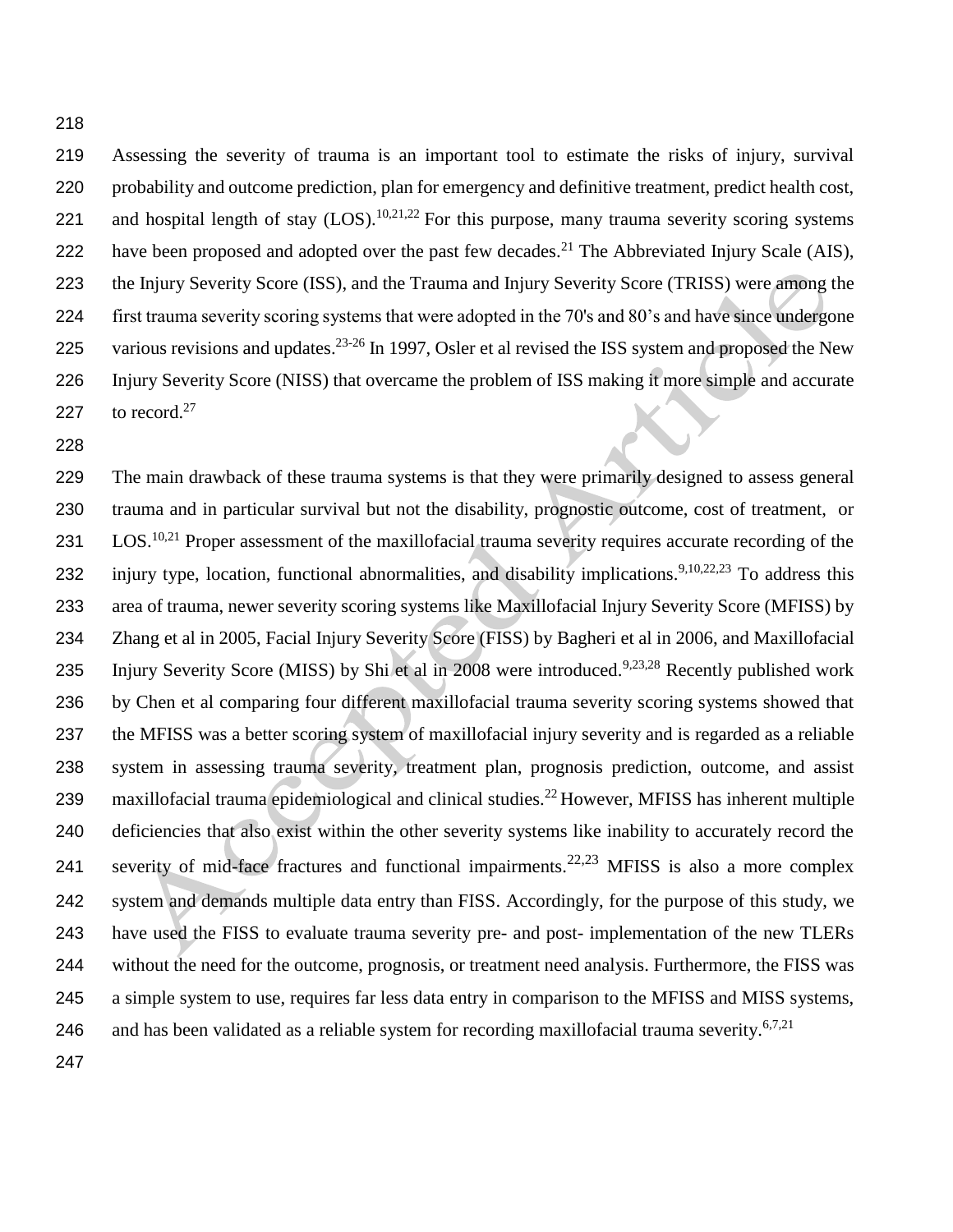Assessing the severity of trauma is an important tool to estimate the risks of injury, survival probability and outcome prediction, plan for emergency and definitive treatment, predict health cost, 221 and hospital length of stay  $(LOS)$ .<sup>10,21,22</sup> For this purpose, many trauma severity scoring systems 222 have been proposed and adopted over the past few decades.<sup>21</sup> The Abbreviated Injury Scale (AIS), the Injury Severity Score (ISS), and the Trauma and Injury Severity Score (TRISS) were among the first trauma severity scoring systems that were adopted in the 70's and 80's and have since undergone 225 various revisions and updates.<sup>23-26</sup> In 1997, Osler et al revised the ISS system and proposed the New Injury Severity Score (NISS) that overcame the problem of ISS making it more simple and accurate 227 to record.<sup>27</sup>

 The main drawback of these trauma systems is that they were primarily designed to assess general trauma and in particular survival but not the disability, prognostic outcome, cost of treatment, or 231 LOS.<sup>10,21</sup> Proper assessment of the maxillofacial trauma severity requires accurate recording of the 232 injury type, location, functional abnormalities, and disability implications.<sup>9,10,22,23</sup> To address this area of trauma, newer severity scoring systems like Maxillofacial Injury Severity Score (MFISS) by Zhang et al in 2005, Facial Injury Severity Score (FISS) by Bagheri et al in 2006, and Maxillofacial 235 Injury Severity Score (MISS) by Shi et al in 2008 were introduced.<sup>9,23,28</sup> Recently published work by Chen et al comparing four different maxillofacial trauma severity scoring systems showed that the MFISS was a better scoring system of maxillofacial injury severity and is regarded as a reliable system in assessing trauma severity, treatment plan, prognosis prediction, outcome, and assist 239 maxillofacial trauma epidemiological and clinical studies.<sup>22</sup> However, MFISS has inherent multiple deficiencies that also exist within the other severity systems like inability to accurately record the 241 severity of mid-face fractures and functional impairments.  $22,23$  MFISS is also a more complex system and demands multiple data entry than FISS. Accordingly, for the purpose of this study, we have used the FISS to evaluate trauma severity pre- and post- implementation of the new TLERs without the need for the outcome, prognosis, or treatment need analysis. Furthermore, the FISS was a simple system to use, requires far less data entry in comparison to the MFISS and MISS systems, 246 and has been validated as a reliable system for recording maxillofacial trauma severity.<sup>6,7,21</sup>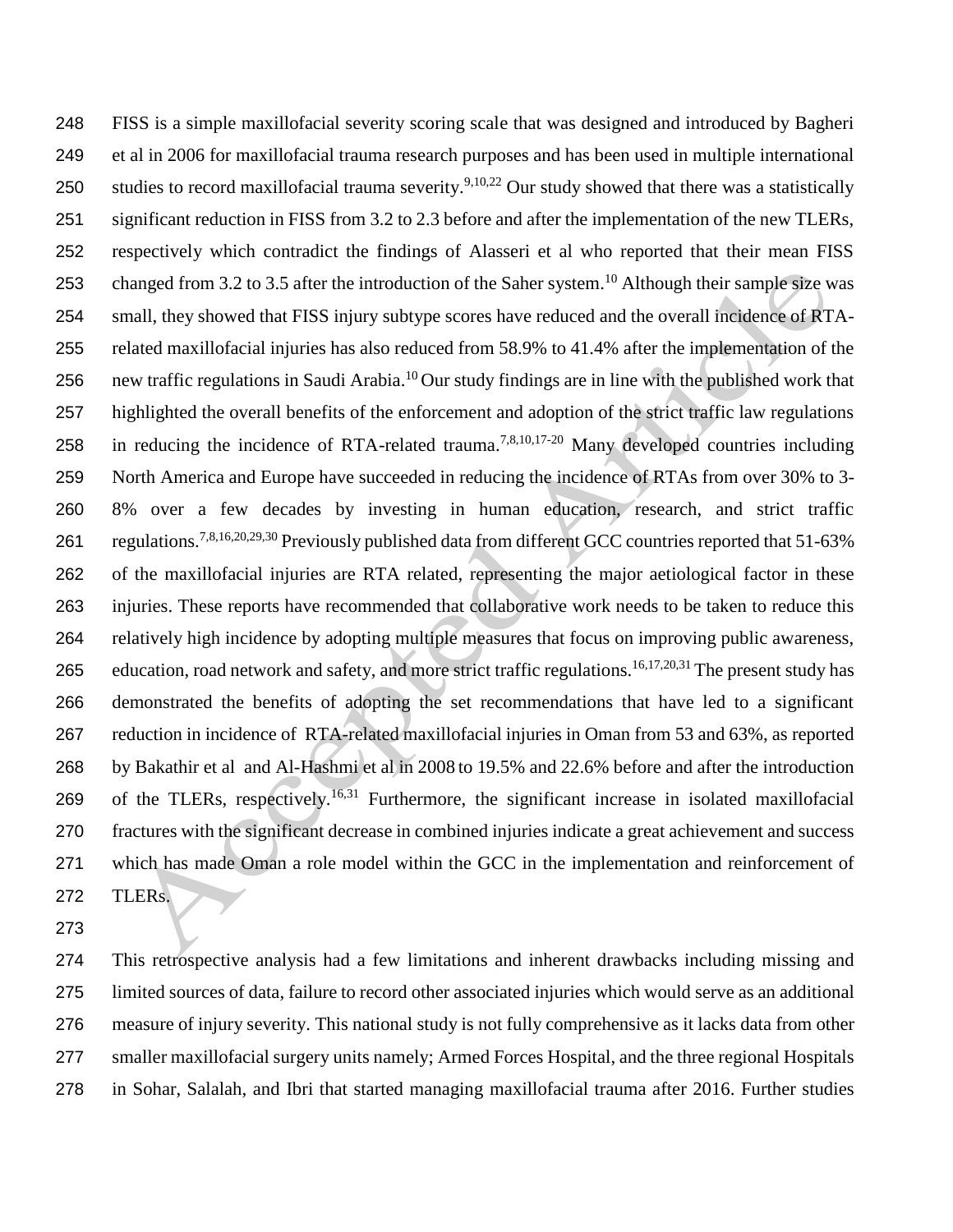FISS is a simple maxillofacial severity scoring scale that was designed and introduced by Bagheri et al in 2006 for maxillofacial trauma research purposes and has been used in multiple international 250 studies to record maxillofacial trauma severity.<sup>9,10,22</sup> Our study showed that there was a statistically significant reduction in FISS from 3.2 to 2.3 before and after the implementation of the new TLERs, respectively which contradict the findings of Alasseri et al who reported that their mean FISS 253 changed from 3.2 to 3.5 after the introduction of the Saher system.<sup>10</sup> Although their sample size was small, they showed that FISS injury subtype scores have reduced and the overall incidence of RTA- related maxillofacial injuries has also reduced from 58.9% to 41.4% after the implementation of the 256 new traffic regulations in Saudi Arabia.<sup>10</sup> Our study findings are in line with the published work that highlighted the overall benefits of the enforcement and adoption of the strict traffic law regulations 258 in reducing the incidence of RTA-related trauma.<sup>7,8,10,17-20</sup> Many developed countries including North America and Europe have succeeded in reducing the incidence of RTAs from over 30% to 3- 8% over a few decades by investing in human education, research, and strict traffic regulations.7,8,16,20,29,30 Previously published data from different GCC countries reported that 51-63% of the maxillofacial injuries are RTA related, representing the major aetiological factor in these injuries. These reports have recommended that collaborative work needs to be taken to reduce this relatively high incidence by adopting multiple measures that focus on improving public awareness, 265 education, road network and safety, and more strict traffic regulations.<sup>16,17,20,31</sup> The present study has demonstrated the benefits of adopting the set recommendations that have led to a significant reduction in incidence of RTA-related maxillofacial injuries in Oman from 53 and 63%, as reported by Bakathir et al and Al-Hashmi et al in 2008 to 19.5% and 22.6% before and after the introduction 269 of the TLERs, respectively.<sup>16,31</sup> Furthermore, the significant increase in isolated maxillofacial fractures with the significant decrease in combined injuries indicate a great achievement and success which has made Oman a role model within the GCC in the implementation and reinforcement of TLERs.

 This retrospective analysis had a few limitations and inherent drawbacks including missing and limited sources of data, failure to record other associated injuries which would serve as an additional measure of injury severity. This national study is not fully comprehensive as it lacks data from other smaller maxillofacial surgery units namely; Armed Forces Hospital, and the three regional Hospitals in Sohar, Salalah, and Ibri that started managing maxillofacial trauma after 2016. Further studies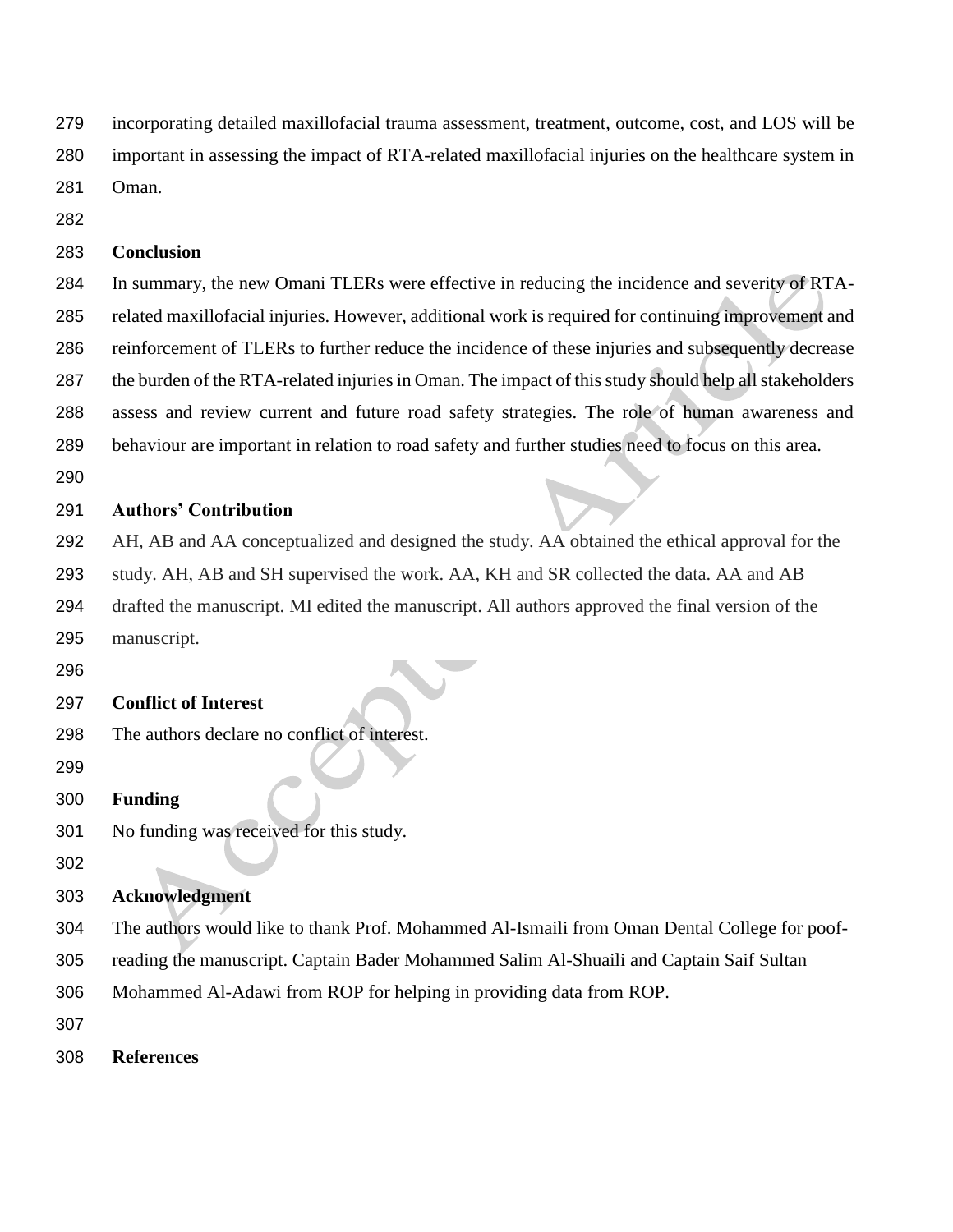incorporating detailed maxillofacial trauma assessment, treatment, outcome, cost, and LOS will be

important in assessing the impact of RTA-related maxillofacial injuries on the healthcare system in

Oman.

## **Conclusion**

 In summary, the new Omani TLERs were effective in reducing the incidence and severity of RTA- related maxillofacial injuries. However, additional work is required for continuing improvement and reinforcement of TLERs to further reduce the incidence of these injuries and subsequently decrease the burden of the RTA-related injuries in Oman. The impact of this study should help all stakeholders assess and review current and future road safety strategies. The role of human awareness and behaviour are important in relation to road safety and further studies need to focus on this area.

# **Authors' Contribution**

AH, AB and AA conceptualized and designed the study. AA obtained the ethical approval for the

study. AH, AB and SH supervised the work. AA, KH and SR collected the data. AA and AB

drafted the manuscript. MI edited the manuscript. All authors approved the final version of the

- manuscript.
- 

# **Conflict of Interest**

- The authors declare no conflict of interest.
- 
- **Funding**
- No funding was received for this study.
- 

# **Acknowledgment**

The authors would like to thank Prof. Mohammed Al-Ismaili from Oman Dental College for poof-

- reading the manuscript. Captain Bader Mohammed Salim Al-Shuaili and Captain Saif Sultan
- Mohammed Al-Adawi from ROP for helping in providing data from ROP.
- 
- **References**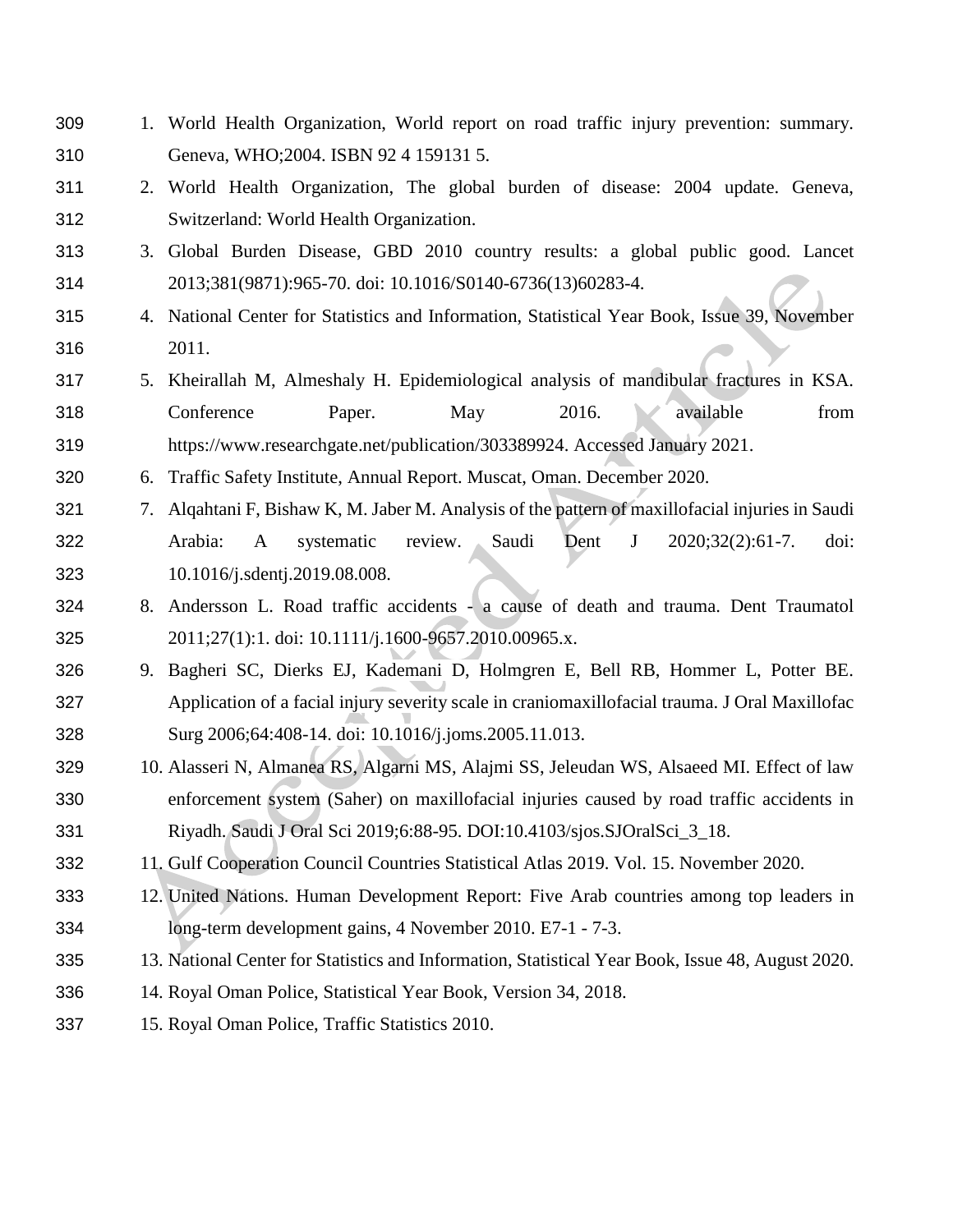1. World Health Organization, World report on road traffic injury prevention: summary. Geneva, WHO;2004. ISBN 92 4 159131 5.

 2. World Health Organization, The global burden of disease: 2004 update. Geneva, Switzerland: World Health Organization.

- 3. Global Burden Disease, GBD 2010 country results: a global public good. Lancet 2013;381(9871):965-70. doi: 10.1016/S0140-6736(13)60283-4.
- 4. National Center for Statistics and Information, Statistical Year Book, Issue 39, November 2011.
- 5. Kheirallah M, Almeshaly H. Epidemiological analysis of mandibular fractures in KSA. 318 Conference Paper. May 2016. available from [https://www.researchgate.net/publication/303389924.](https://www.researchgate.net/publication/303389924) Accessed January 2021.
- 6. Traffic Safety Institute, Annual Report. Muscat, Oman. December 2020.
- 7. Alqahtani F, Bishaw K, M. Jaber M. Analysis of the pattern of maxillofacial injuries in Saudi Arabia: A systematic review. Saudi Dent J 2020;32(2):61-7. doi: 10.1016/j.sdentj.2019.08.008.
- 8. Andersson L. Road traffic accidents a cause of death and trauma. Dent Traumatol 2011;27(1):1. doi: 10.1111/j.1600-9657.2010.00965.x.
- 9. Bagheri SC, Dierks EJ, Kademani D, Holmgren E, Bell RB, Hommer L, Potter BE. Application of a facial injury severity scale in craniomaxillofacial trauma. J Oral Maxillofac Surg 2006;64:408-14. doi: 10.1016/j.joms.2005.11.013.
- 10. Alasseri N, Almanea RS, Algarni MS, Alajmi SS, Jeleudan WS, Alsaeed MI. Effect of law enforcement system (Saher) on maxillofacial injuries caused by road traffic accidents in Riyadh. Saudi J Oral Sci 2019;6:88-95. DOI:10.4103/sjos.SJOralSci\_3\_18.
- 11. Gulf Cooperation Council Countries Statistical Atlas 2019. Vol. 15. November 2020.
- 12. United Nations. Human Development Report: Five Arab countries among top leaders in long-term development gains, 4 November 2010. E7-1 - 7-3.
- 13. National Center for Statistics and Information, Statistical Year Book, Issue 48, August 2020.
- 14. Royal Oman Police, Statistical Year Book, Version 34, 2018.
- 15. Royal Oman Police, Traffic Statistics 2010.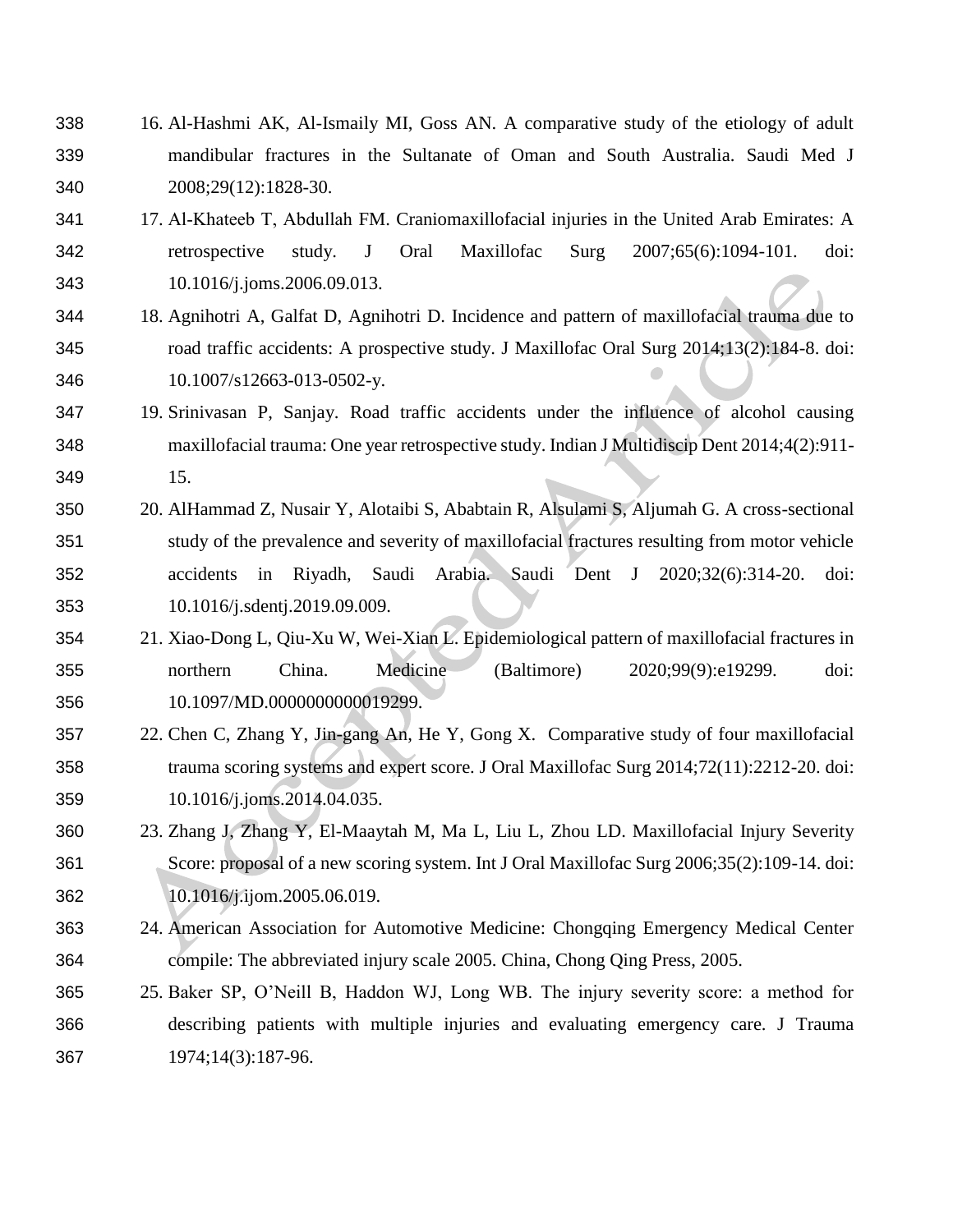- 16. Al-Hashmi AK, Al-Ismaily MI, Goss AN. A comparative study of the etiology of adult mandibular fractures in the Sultanate of Oman and South Australia. Saudi Med J 2008;29(12):1828-30.
- 17. Al‑Khateeb T, Abdullah FM. Craniomaxillofacial injuries in the United Arab Emirates: A retrospective study. J Oral Maxillofac Surg 2007;65(6):1094-101. doi: 10.1016/j.joms.2006.09.013.
- 18. Agnihotri A, Galfat D, Agnihotri D. Incidence and pattern of maxillofacial trauma due to road traffic accidents: A prospective study. J Maxillofac Oral Surg 2014;13(2):184-8. doi: 10.1007/s12663-013-0502-y.
- 19. Srinivasan P, Sanjay. Road traffic accidents under the influence of alcohol causing maxillofacial trauma: One year retrospective study. Indian J Multidiscip Dent 2014;4(2):911- 15.
- 20. AlHammad Z, Nusair Y, Alotaibi S, Ababtain R, Alsulami S, Aljumah G. A cross-sectional study of the prevalence and severity of maxillofacial fractures resulting from motor vehicle accidents in Riyadh, Saudi Arabia. Saudi Dent J 2020;32(6):314-20. doi: 10.1016/j.sdentj.2019.09.009.
- 21. Xiao-Dong L, Qiu-Xu W, Wei-Xian L. Epidemiological pattern of maxillofacial fractures in northern China. Medicine (Baltimore) 2020;99(9):e19299. doi: 10.1097/MD.0000000000019299.
- 22. Chen C, Zhang Y, Jin-gang An, He Y, Gong X. Comparative study of four maxillofacial trauma scoring systems and expert score. J Oral Maxillofac Surg 2014;72(11):2212-20. doi: 10.1016/j.joms.2014.04.035.
- 23. Zhang J, Zhang Y, El-Maaytah M, Ma L, Liu L, Zhou LD. Maxillofacial Injury Severity Score: proposal of a new scoring system. Int J Oral Maxillofac Surg 2006;35(2):109-14. doi: 10.1016/j.ijom.2005.06.019.
- 24. American Association for Automotive Medicine: Chongqing Emergency Medical Center compile: The abbreviated injury scale 2005. China, Chong Qing Press, 2005.
- 25. Baker SP, O'Neill B, Haddon WJ, Long WB. The injury severity score: a method for describing patients with multiple injuries and evaluating emergency care. J Trauma 1974;14(3):187-96.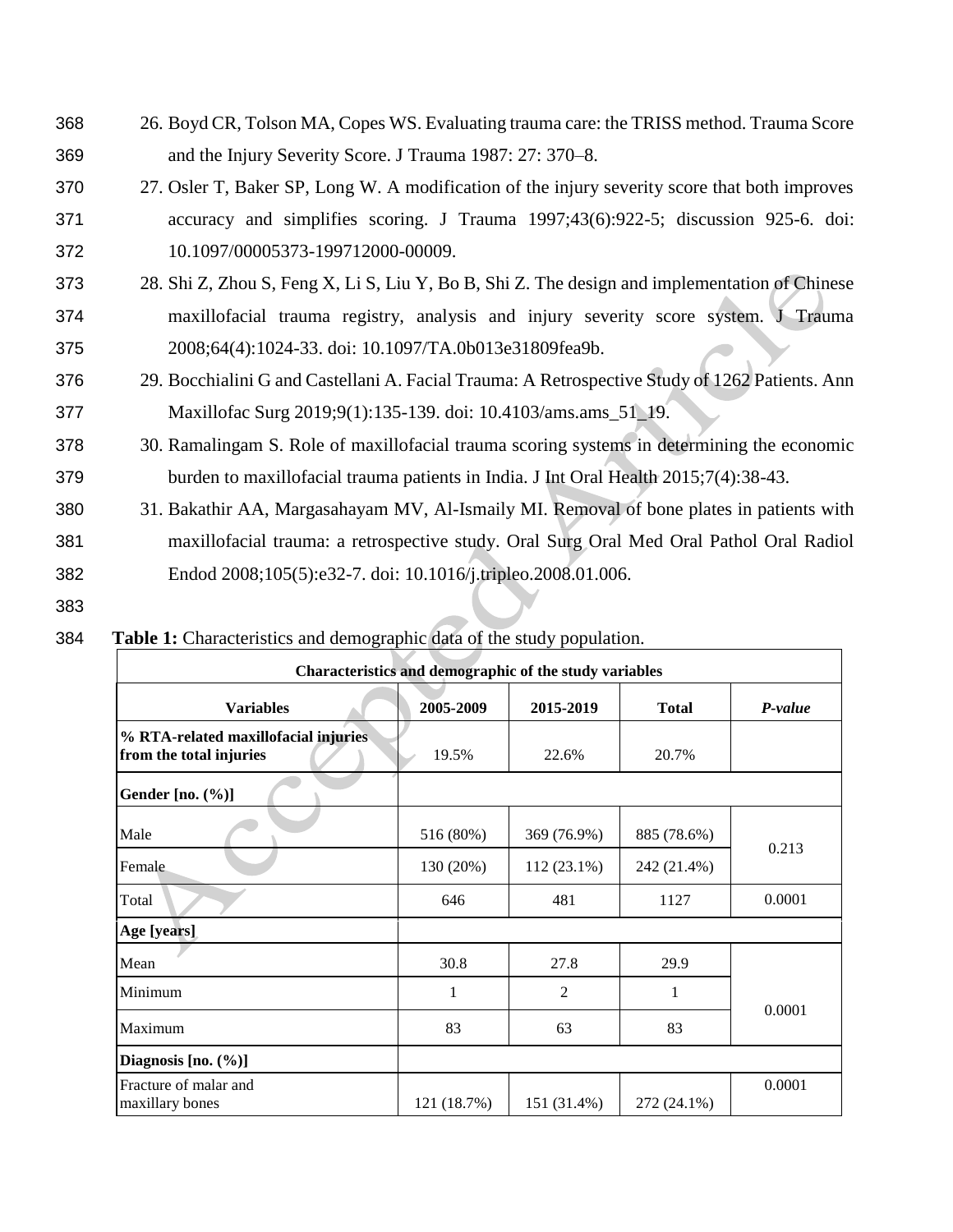- 368 26. Boyd CR, Tolson MA, Copes WS. Evaluating trauma care: the TRISS method. Trauma Score 369 and the Injury Severity Score. J Trauma 1987: 27: 370–8.
- 370 27. Osler T, Baker SP, Long W. A modification of the injury severity score that both improves 371 accuracy and simplifies scoring. J Trauma 1997;43(6):922-5; discussion 925-6. doi: 372 10.1097/00005373-199712000-00009.
- 373 28. Shi Z, Zhou S, Feng X, Li S, Liu Y, Bo B, Shi Z. The design and implementation of Chinese 374 maxillofacial trauma registry, analysis and injury severity score system. J Trauma 375 2008;64(4):1024-33. doi: 10.1097/TA.0b013e31809fea9b.
- 376 29. Bocchialini G and Castellani A. Facial Trauma: A Retrospective Study of 1262 Patients. Ann 377 Maxillofac Surg 2019;9(1):135-139. doi: 10.4103/ams.ams\_51\_19.
- 378 30. Ramalingam S. Role of maxillofacial trauma scoring systems in determining the economic 379 burden to maxillofacial trauma patients in India. J Int Oral Health 2015;7(4):38-43.
- 380 31. Bakathir AA, Margasahayam MV, Al-Ismaily MI. Removal of bone plates in patients with 381 maxillofacial trauma: a retrospective study. Oral Surg Oral Med Oral Pathol Oral Radiol 382 Endod 2008;105(5):e32-7. doi: 10.1016/j.tripleo.2008.01.006.
- 383

# 384 **Table 1:** Characteristics and demographic data of the study population.

| Characteristics and demographic of the study variables          |              |                              |              |         |  |  |  |
|-----------------------------------------------------------------|--------------|------------------------------|--------------|---------|--|--|--|
| <b>Variables</b>                                                | 2005-2009    | 2015-2019                    | <b>Total</b> | P-value |  |  |  |
| % RTA-related maxillofacial injuries<br>from the total injuries | 19.5%        | 22.6%                        | 20.7%        |         |  |  |  |
| Gender $[no. (%)]$                                              |              |                              |              |         |  |  |  |
| Male                                                            | 516 (80%)    | 369 (76.9%)                  | 885 (78.6%)  |         |  |  |  |
| Female                                                          | 130 (20%)    | $112(23.1\%)$<br>242 (21.4%) |              | 0.213   |  |  |  |
| Total                                                           | 646          | 481                          | 1127         | 0.0001  |  |  |  |
| Age [years]                                                     |              |                              |              |         |  |  |  |
| Mean                                                            | 30.8         | 27.8                         | 29.9         |         |  |  |  |
| Minimum                                                         | $\mathbf{1}$ | 2                            | 1            | 0.0001  |  |  |  |
| Maximum                                                         | 83           | 63                           | 83           |         |  |  |  |
| Diagnosis [no. (%)]                                             |              |                              |              |         |  |  |  |
| Fracture of malar and<br>maxillary bones                        | 121 (18.7%)  | 151 (31.4%)                  | 272 (24.1%)  | 0.0001  |  |  |  |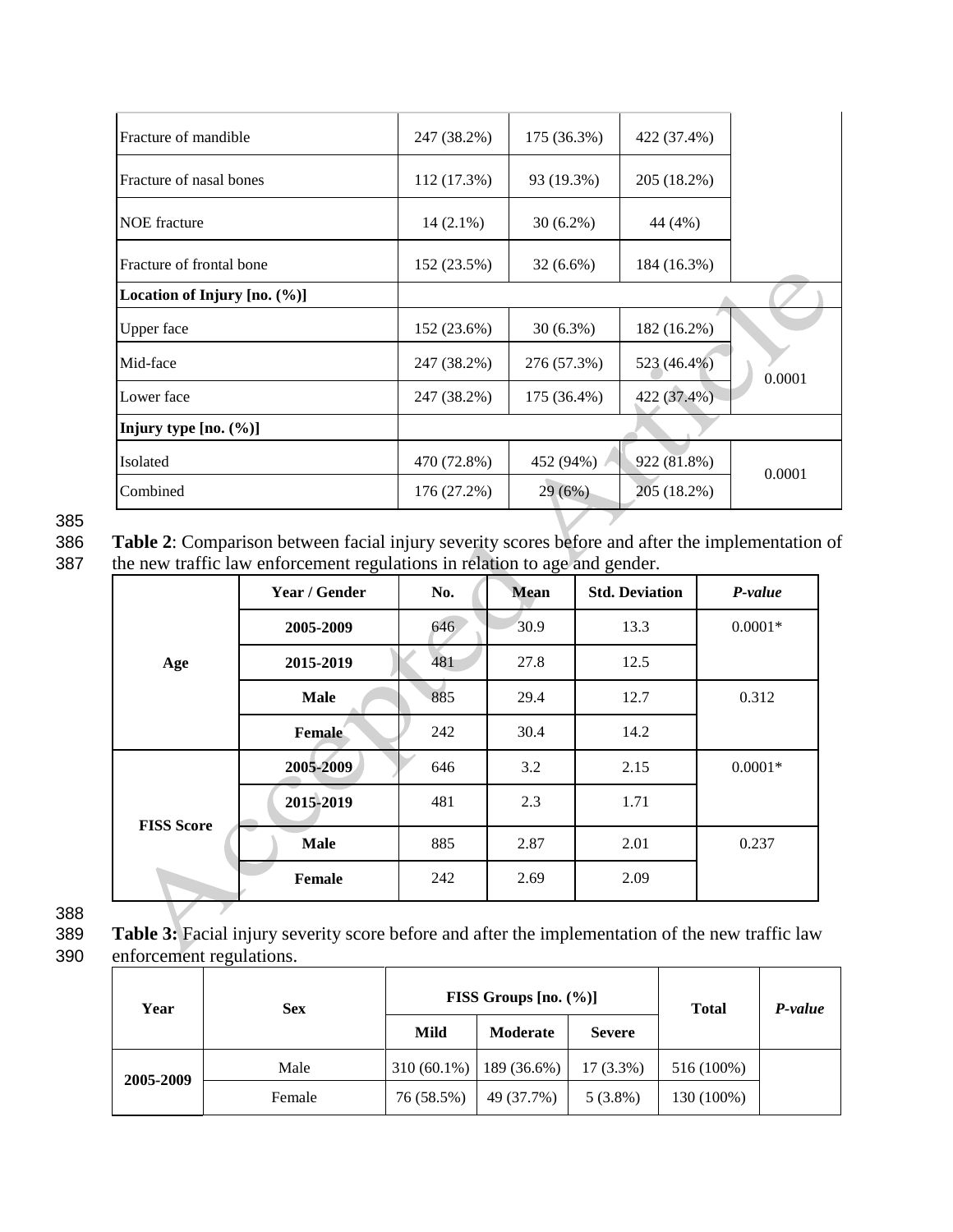| Fracture of mandible           | 247 (38.2%) | 175 (36.3%) | 422 (37.4%) |        |
|--------------------------------|-------------|-------------|-------------|--------|
| Fracture of nasal bones        | 112 (17.3%) | 93 (19.3%)  | 205 (18.2%) |        |
| <b>NOE</b> fracture            | $14(2.1\%)$ | $30(6.2\%)$ | 44 (4%)     |        |
| Fracture of frontal bone       | 152 (23.5%) | $32(6.6\%)$ | 184 (16.3%) |        |
| Location of Injury $[no. (%)]$ |             |             |             |        |
| Upper face                     | 152 (23.6%) | $30(6.3\%)$ | 182 (16.2%) |        |
| Mid-face                       | 247 (38.2%) | 276 (57.3%) | 523 (46.4%) | 0.0001 |
| Lower face                     | 247 (38.2%) | 175 (36.4%) | 422 (37.4%) |        |
| Injury type $[no. (%)]$        |             |             |             |        |
| Isolated                       | 470 (72.8%) | 452 (94%)   | 922 (81.8%) | 0.0001 |
| Combined                       | 176 (27.2%) | 29(6%)      | 205 (18.2%) |        |

385<br>386

Table 2: Comparison between facial injury severity scores before and after the implementation of 387 the new traffic law enforcement regulations in relation to age and gender.

|                   | Year / Gender | <b>Std. Deviation</b><br>No.<br><b>Mean</b> |      | P-value |           |
|-------------------|---------------|---------------------------------------------|------|---------|-----------|
|                   | 2005-2009     | 646                                         | 30.9 | 13.3    | $0.0001*$ |
| Age               | 2015-2019     | 481                                         | 27.8 | 12.5    |           |
|                   | <b>Male</b>   | 885                                         | 29.4 | 12.7    | 0.312     |
|                   | Female        | 242                                         | 30.4 | 14.2    |           |
|                   | 2005-2009     | 646                                         | 3.2  | 2.15    | $0.0001*$ |
|                   | 2015-2019     | 481                                         | 2.3  | 1.71    |           |
| <b>FISS Score</b> | <b>Male</b>   | 885                                         | 2.87 | 2.01    | 0.237     |
|                   | Female        | 242                                         | 2.69 | 2.09    |           |

388

389 **Table 3:** Facial injury severity score before and after the implementation of the new traffic law 390 enforcement regulations.

| Year      | <b>Sex</b> |               | FISS Groups $[no. (%)]$ | <b>Total</b>  | P-value    |  |
|-----------|------------|---------------|-------------------------|---------------|------------|--|
|           |            | Mild          | Moderate                | <b>Severe</b> |            |  |
| 2005-2009 | Male       | $310(60.1\%)$ | 189 (36.6%)             | $17(3.3\%)$   | 516 (100%) |  |
|           | Female     | 76 (58.5%)    | 49 (37.7%)              | $5(3.8\%)$    | 130 (100%) |  |